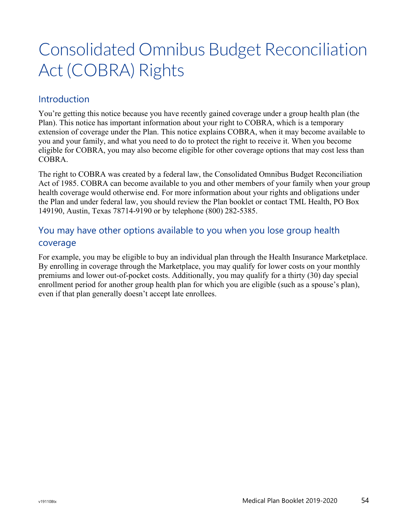# Consolidated Omnibus Budget Reconciliation Act(COBRA) Rights

#### Introduction

You're getting this notice because you have recently gained coverage under a group health plan (the Plan). This notice has important information about your right to COBRA, which is a temporary extension of coverage under the Plan. This notice explains COBRA, when it may become available to you and your family, and what you need to do to protect the right to receive it. When you become eligible for COBRA, you may also become eligible for other coverage options that may cost less than COBRA.

The right to COBRA was created by a federal law, the Consolidated Omnibus Budget Reconciliation Act of 1985. COBRA can become available to you and other members of your family when your group health coverage would otherwise end. For more information about your rights and obligations under the Plan and under federal law, you should review the Plan booklet or contact TML Health, PO Box 149190, Austin, Texas 78714-9190 or by telephone (800) 282-5385.

## You may have other options available to you when you lose group health coverage

For example, you may be eligible to buy an individual plan through the Health Insurance Marketplace. By enrolling in coverage through the Marketplace, you may qualify for lower costs on your monthly premiums and lower out-of-pocket costs. Additionally, you may qualify for a thirty (30) day special enrollment period for another group health plan for which you are eligible (such as a spouse's plan), even if that plan generally doesn't accept late enrollees.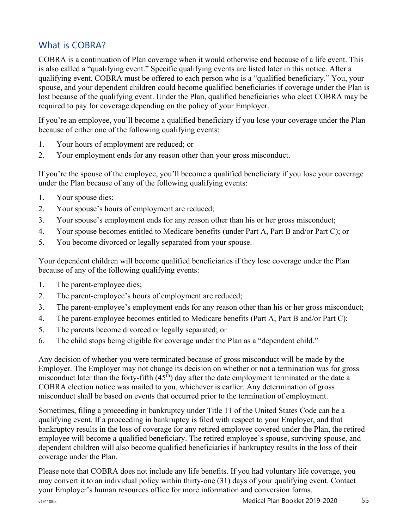### What is COBRA?

COBRA is a continuation of Plan coverage when it would otherwise end because of a life event. This is also called a "qualifying event." Specific qualifying events are listed later in this notice. After a qualifying event, COBRA must be offered to each person who is a "qualified beneficiary." You, your spouse, and your dependent children could become qualified beneficiaries if coverage under the Plan is lost because of the qualifying event. Under the Plan, qualified beneficiaries who elect COBRA may be required to pay for coverage depending on the policy of your Employer.

If you're an employee, you'll become a qualified beneficiary if you lose your coverage under the Plan because of either one of the following qualifying events:

- 1. Your hours of employment are reduced; or
- 2. Your employment ends for any reason other than your gross misconduct.

If you're the spouse of the employee, you'll become a qualified beneficiary if you lose your coverage under the Plan because of any of the following qualifying events:

- 1. Your spouse dies;
- 2. Your spouse's hours of employment are reduced;
- 3. Your spouse's employment ends for any reason other than his or her gross misconduct;
- 4. Your spouse becomes entitled to Medicare benefits (under Part A, Part B and/or Part C); or
- 5. You become divorced or legally separated from your spouse.

Your dependent children will become qualified beneficiaries if they lose coverage under the Plan because of any of the following qualifying events:

- 1. The parent-employee dies;
- 2. The parent-employee's hours of employment are reduced;
- 3. The parent-employee's employment ends for any reason other than his or her gross misconduct;
- 4. The parent-employee becomes entitled to Medicare benefits (Part A, Part B and/or Part C);
- 5. The parents become divorced or legally separated; or
- 6. The child stops being eligible for coverage under the Plan as a "dependent child."

Any decision of whether you were terminated because of gross misconduct will be made by the Employer. The Employer may not change its decision on whether or not a termination was for gross misconduct later than the forty-fifth  $(45<sup>th</sup>)$  day after the date employment terminated or the date a COBRA election notice was mailed to you, whichever is earlier. Any determination of gross misconduct shall be based on events that occurred prior to the termination of employment.

Sometimes, filing a proceeding in bankruptcy under Title 11 of the United States Code can be a qualifying event. If a proceeding in bankruptcy is filed with respect to your Employer, and that bankruptcy results in the loss of coverage for any retired employee covered under the Plan, the retired employee will become a qualified beneficiary. The retired employee's spouse, surviving spouse, and dependent children will also become qualified beneficiaries if bankruptcy results in the loss of their coverage under the Plan.

Please note that COBRA does not include any life benefits. If you had voluntary life coverage, you may convert it to an individual policy within thirty-one (31) days of your qualifying event. Contact your Employer's human resources office for more information and conversion forms.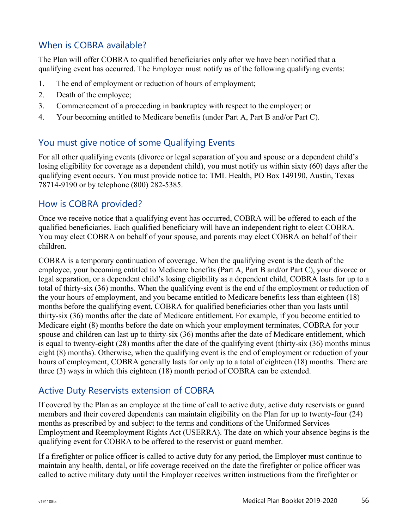#### When is COBRA available?

The Plan will offer COBRA to qualified beneficiaries only after we have been notified that a qualifying event has occurred. The Employer must notify us of the following qualifying events:

- 1. The end of employment or reduction of hours of employment;
- 2. Death of the employee;
- 3. Commencement of a proceeding in bankruptcy with respect to the employer; or
- 4. Your becoming entitled to Medicare benefits (under Part A, Part B and/or Part C).

### You must give notice of some Qualifying Events

For all other qualifying events (divorce or legal separation of you and spouse or a dependent child's losing eligibility for coverage as a dependent child), you must notify us within sixty (60) days after the qualifying event occurs. You must provide notice to: TML Health, PO Box 149190, Austin, Texas 78714-9190 or by telephone (800) 282-5385.

#### How is COBRA provided?

Once we receive notice that a qualifying event has occurred, COBRA will be offered to each of the qualified beneficiaries. Each qualified beneficiary will have an independent right to elect COBRA. You may elect COBRA on behalf of your spouse, and parents may elect COBRA on behalf of their children.

COBRA is a temporary continuation of coverage. When the qualifying event is the death of the employee, your becoming entitled to Medicare benefits (Part A, Part B and/or Part C), your divorce or legal separation, or a dependent child's losing eligibility as a dependent child, COBRA lasts for up to a total of thirty-six (36) months. When the qualifying event is the end of the employment or reduction of the your hours of employment, and you became entitled to Medicare benefits less than eighteen (18) months before the qualifying event, COBRA for qualified beneficiaries other than you lasts until thirty-six (36) months after the date of Medicare entitlement. For example, if you become entitled to Medicare eight (8) months before the date on which your employment terminates, COBRA for your spouse and children can last up to thirty-six (36) months after the date of Medicare entitlement, which is equal to twenty-eight (28) months after the date of the qualifying event (thirty-six (36) months minus eight (8) months). Otherwise, when the qualifying event is the end of employment or reduction of your hours of employment, COBRA generally lasts for only up to a total of eighteen (18) months. There are three (3) ways in which this eighteen (18) month period of COBRA can be extended.

### Active Duty Reservists extension of COBRA

If covered by the Plan as an employee at the time of call to active duty, active duty reservists or guard members and their covered dependents can maintain eligibility on the Plan for up to twenty-four (24) months as prescribed by and subject to the terms and conditions of the Uniformed Services Employment and Reemployment Rights Act (USERRA). The date on which your absence begins is the qualifying event for COBRA to be offered to the reservist or guard member.

If a firefighter or police officer is called to active duty for any period, the Employer must continue to maintain any health, dental, or life coverage received on the date the firefighter or police officer was called to active military duty until the Employer receives written instructions from the firefighter or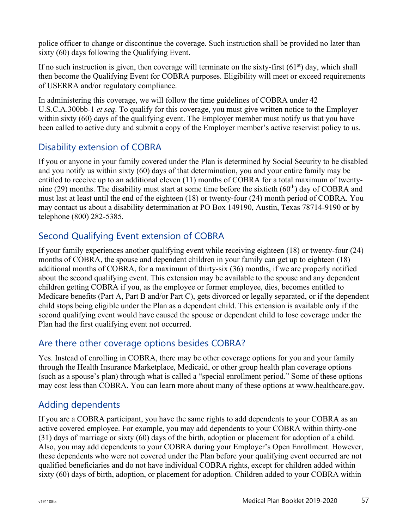police officer to change or discontinue the coverage. Such instruction shall be provided no later than sixty (60) days following the Qualifying Event.

If no such instruction is given, then coverage will terminate on the sixty-first  $(61<sup>st</sup>)$  day, which shall then become the Qualifying Event for COBRA purposes. Eligibility will meet or exceed requirements of USERRA and/or regulatory compliance.

In administering this coverage, we will follow the time guidelines of COBRA under 42 U.S.C.A.300bb-1 *et seq*. To qualify for this coverage, you must give written notice to the Employer within sixty (60) days of the qualifying event. The Employer member must notify us that you have been called to active duty and submit a copy of the Employer member's active reservist policy to us.

#### Disability extension of COBRA

If you or anyone in your family covered under the Plan is determined by Social Security to be disabled and you notify us within sixty (60) days of that determination, you and your entire family may be entitled to receive up to an additional eleven (11) months of COBRA for a total maximum of twentynine (29) months. The disability must start at some time before the sixtieth (60<sup>th</sup>) day of COBRA and must last at least until the end of the eighteen (18) or twenty-four (24) month period of COBRA. You may contact us about a disability determination at PO Box 149190, Austin, Texas 78714-9190 or by telephone (800) 282-5385.

## Second Qualifying Event extension of COBRA

If your family experiences another qualifying event while receiving eighteen (18) or twenty-four (24) months of COBRA, the spouse and dependent children in your family can get up to eighteen (18) additional months of COBRA, for a maximum of thirty-six (36) months, if we are properly notified about the second qualifying event. This extension may be available to the spouse and any dependent children getting COBRA if you, as the employee or former employee, dies, becomes entitled to Medicare benefits (Part A, Part B and/or Part C), gets divorced or legally separated, or if the dependent child stops being eligible under the Plan as a dependent child. This extension is available only if the second qualifying event would have caused the spouse or dependent child to lose coverage under the Plan had the first qualifying event not occurred.

### Are there other coverage options besides COBRA?

Yes. Instead of enrolling in COBRA, there may be other coverage options for you and your family through the Health Insurance Marketplace, Medicaid, or other group health plan coverage options (such as a spouse's plan) through what is called a "special enrollment period." Some of these options may cost less than COBRA. You can learn more about many of these options at [www.healthcare.gov.](http://www.healthcare.gov/)

### Adding dependents

If you are a COBRA participant, you have the same rights to add dependents to your COBRA as an active covered employee. For example, you may add dependents to your COBRA within thirty-one (31) days of marriage or sixty (60) days of the birth, adoption or placement for adoption of a child. Also, you may add dependents to your COBRA during your Employer's Open Enrollment. However, these dependents who were not covered under the Plan before your qualifying event occurred are not qualified beneficiaries and do not have individual COBRA rights, except for children added within sixty (60) days of birth, adoption, or placement for adoption. Children added to your COBRA within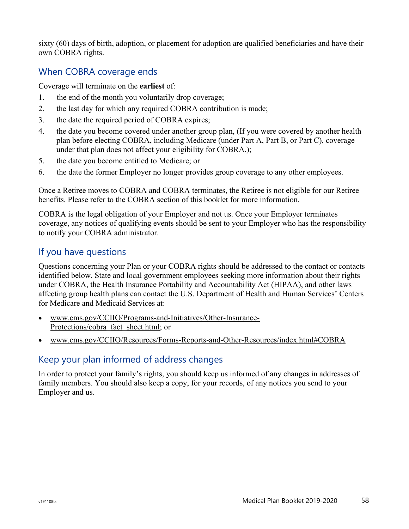sixty (60) days of birth, adoption, or placement for adoption are qualified beneficiaries and have their own COBRA rights.

#### When COBRA coverage ends

Coverage will terminate on the **earliest** of:

- 1. the end of the month you voluntarily drop coverage;
- 2. the last day for which any required COBRA contribution is made;
- 3. the date the required period of COBRA expires;
- 4. the date you become covered under another group plan, (If you were covered by another health plan before electing COBRA, including Medicare (under Part A, Part B, or Part C), coverage under that plan does not affect your eligibility for COBRA.);
- 5. the date you become entitled to Medicare; or
- 6. the date the former Employer no longer provides group coverage to any other employees.

Once a Retiree moves to COBRA and COBRA terminates, the Retiree is not eligible for our Retiree benefits. Please refer to the COBRA section of this booklet for more information.

COBRA is the legal obligation of your Employer and not us. Once your Employer terminates coverage, any notices of qualifying events should be sent to your Employer who has the responsibility to notify your COBRA administrator.

#### If you have questions

Questions concerning your Plan or your COBRA rights should be addressed to the contact or contacts identified below. State and local government employees seeking more information about their rights under COBRA, the Health Insurance Portability and Accountability Act (HIPAA), and other laws affecting group health plans can contact the U.S. Department of Health and Human Services' Centers for Medicare and Medicaid Services at:

- [www.cms.gov/CCIIO/Programs-and-Initiatives/Other-Insurance-](http://www.cms.gov/CCIIO/Programs-and-Initiatives/Other-Insurance-Protections/cobra_fact_sheet.html)[Protections/cobra\\_fact\\_sheet.html;](http://www.cms.gov/CCIIO/Programs-and-Initiatives/Other-Insurance-Protections/cobra_fact_sheet.html) or
- [www.cms.gov/CCIIO/Resources/Forms-Reports-and-Other-Resources/index.html#COBRA](https://www.cms.gov/CCIIO/Resources/Forms-Reports-and-Other-Resources/index.html#COBRA)

### Keep your plan informed of address changes

In order to protect your family's rights, you should keep us informed of any changes in addresses of family members. You should also keep a copy, for your records, of any notices you send to your Employer and us.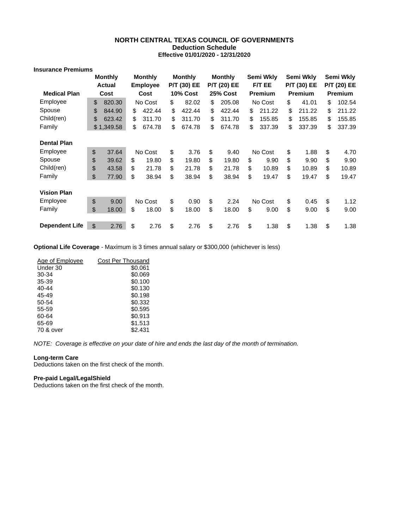#### **NORTH CENTRAL TEXAS COUNCIL OF GOVERNMENTS Deduction Schedule Effective 01/01/2020 - 12/31/2020**

#### **Insurance Premiums**

|                       | <b>Monthly</b> |        | <b>Monthly</b>  |        | <b>Monthly</b>     |        | <b>Monthly</b> |        | Semi Wkly      |        | Semi Wkly      |        | Semi Wkly      |        |
|-----------------------|----------------|--------|-----------------|--------|--------------------|--------|----------------|--------|----------------|--------|----------------|--------|----------------|--------|
|                       | <b>Actual</b>  |        | <b>Employee</b> |        | <b>P/T (30) EE</b> |        | P/T (20) EE    |        | F/T EE         |        | P/T (30) EE    |        | P/T (20) EE    |        |
| <b>Medical Plan</b>   | Cost           |        | Cost            |        | <b>10% Cost</b>    |        | 25% Cost       |        | <b>Premium</b> |        | <b>Premium</b> |        | <b>Premium</b> |        |
| Employee              | \$<br>820.30   |        | No Cost         |        | \$                 | 82.02  | \$<br>205.08   |        | No Cost        |        | \$             | 41.01  | \$             | 102.54 |
| Spouse                | \$             | 844.90 | \$              | 422.44 | \$                 | 422.44 | \$             | 422.44 | \$             | 211.22 | \$             | 211.22 | \$             | 211.22 |
| Child(ren)            | \$             | 623.42 | \$              | 311.70 | \$                 | 311.70 | \$             | 311.70 | \$             | 155.85 | \$             | 155.85 | \$             | 155.85 |
| Family                | \$1,349.58     |        | \$              | 674.78 | \$                 | 674.78 | \$             | 674.78 | \$             | 337.39 | \$             | 337.39 | \$             | 337.39 |
|                       |                |        |                 |        |                    |        |                |        |                |        |                |        |                |        |
| <b>Dental Plan</b>    |                |        |                 |        |                    |        |                |        |                |        |                |        |                |        |
| Employee              | \$             | 37.64  | No Cost         |        | \$                 | 3.76   | \$             | 9.40   | No Cost        |        | \$             | 1.88   | \$             | 4.70   |
| Spouse                | \$             | 39.62  | \$              | 19.80  | \$                 | 19.80  | \$             | 19.80  | \$             | 9.90   | \$             | 9.90   | \$             | 9.90   |
| Child(ren)            | \$             | 43.58  | \$              | 21.78  | \$                 | 21.78  | \$             | 21.78  | \$             | 10.89  | \$             | 10.89  | \$             | 10.89  |
| Family                | \$<br>77.90    |        | \$              | 38.94  | \$                 | 38.94  | \$             | 38.94  | \$             | 19.47  | \$             | 19.47  | \$             | 19.47  |
|                       |                |        |                 |        |                    |        |                |        |                |        |                |        |                |        |
| <b>Vision Plan</b>    |                |        |                 |        |                    |        |                |        |                |        |                |        |                |        |
| Employee              | \$<br>9.00     |        | No Cost         |        | \$                 | 0.90   | \$             | 2.24   | No Cost        |        | \$             | 0.45   | \$             | 1.12   |
| Family                | \$             | 18.00  | \$              | 18.00  | \$                 | 18.00  | \$             | 18.00  | \$             | 9.00   | \$             | 9.00   | \$             | 9.00   |
| <b>Dependent Life</b> | \$             | 2.76   | \$              | 2.76   | \$                 | 2.76   | \$             | 2.76   | \$             | 1.38   | \$             | 1.38   | \$             | 1.38   |

**Optional Life Coverage** - Maximum is 3 times annual salary or \$300,000 (whichever is less)

| Age of Employee | <b>Cost Per Thousand</b> |
|-----------------|--------------------------|
| Under 30        | \$0.061                  |
| 30-34           | \$0.069                  |
| 35-39           | \$0.100                  |
| 40-44           | \$0.130                  |
| 45-49           | \$0.198                  |
| 50-54           | \$0.332                  |
| 55-59           | \$0.595                  |
| 60-64           | \$0.913                  |
| 65-69           | \$1.513                  |
| 70 & over       | \$2.431                  |

*NOTE: Coverage is effective on your date of hire and ends the last day of the month of termination.* 

#### **Long-term Care**

Deductions taken on the first check of the month.

#### **Pre-paid Legal/LegalShield**

Deductions taken on the first check of the month.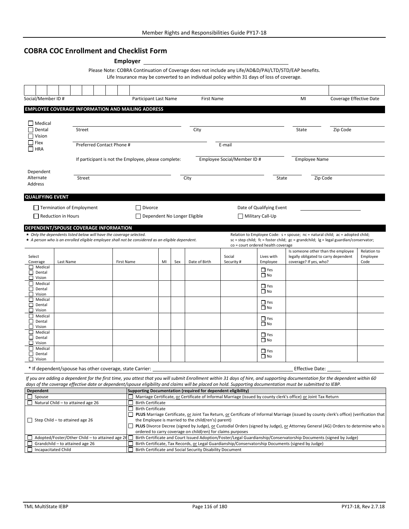#### **COBRA COC Enrollment and Checklist Form**

|                                                                              |                                                      |                         |                     |                                                                                                              |  |      |    | <b>Employer</b>                                                                                                                                                                                                                                                                                                                                                                                                                                             |  |                      |                                                               | Please Note: COBRA Continuation of Coverage does not include any Life/AD&D/PAI/LTD/STD/EAP benefits.<br>Life Insurance may be converted to an individual policy within 31 days of loss of coverage. |                                                                            |                                 |                                                                                                                                                                                  |                         |  |  |
|------------------------------------------------------------------------------|------------------------------------------------------|-------------------------|---------------------|--------------------------------------------------------------------------------------------------------------|--|------|----|-------------------------------------------------------------------------------------------------------------------------------------------------------------------------------------------------------------------------------------------------------------------------------------------------------------------------------------------------------------------------------------------------------------------------------------------------------------|--|----------------------|---------------------------------------------------------------|-----------------------------------------------------------------------------------------------------------------------------------------------------------------------------------------------------|----------------------------------------------------------------------------|---------------------------------|----------------------------------------------------------------------------------------------------------------------------------------------------------------------------------|-------------------------|--|--|
|                                                                              |                                                      |                         |                     |                                                                                                              |  |      |    |                                                                                                                                                                                                                                                                                                                                                                                                                                                             |  |                      |                                                               |                                                                                                                                                                                                     |                                                                            |                                 |                                                                                                                                                                                  |                         |  |  |
|                                                                              |                                                      | Social/Member ID #      |                     |                                                                                                              |  |      |    | Participant Last Name                                                                                                                                                                                                                                                                                                                                                                                                                                       |  |                      | <b>First Name</b>                                             |                                                                                                                                                                                                     |                                                                            | MI                              |                                                                                                                                                                                  | Coverage Effective Date |  |  |
|                                                                              |                                                      |                         |                     |                                                                                                              |  |      |    | <b>EMPLOYEE COVERAGE INFORMATION AND MAILING ADDRESS</b>                                                                                                                                                                                                                                                                                                                                                                                                    |  |                      |                                                               |                                                                                                                                                                                                     |                                                                            |                                 |                                                                                                                                                                                  |                         |  |  |
|                                                                              |                                                      |                         |                     |                                                                                                              |  |      |    |                                                                                                                                                                                                                                                                                                                                                                                                                                                             |  |                      |                                                               |                                                                                                                                                                                                     |                                                                            |                                 |                                                                                                                                                                                  |                         |  |  |
|                                                                              | Medical<br>$\Box$ Dental<br>$\Box$ Vision            |                         |                     | Street                                                                                                       |  |      |    |                                                                                                                                                                                                                                                                                                                                                                                                                                                             |  |                      | City                                                          |                                                                                                                                                                                                     |                                                                            | State                           | Zip Code                                                                                                                                                                         |                         |  |  |
| $\Box$ Flex<br>Preferred Contact Phone #<br>$\Box$ HRA                       |                                                      |                         |                     |                                                                                                              |  |      |    |                                                                                                                                                                                                                                                                                                                                                                                                                                                             |  |                      |                                                               | E-mail                                                                                                                                                                                              |                                                                            |                                 |                                                                                                                                                                                  |                         |  |  |
|                                                                              |                                                      |                         |                     |                                                                                                              |  |      |    | Employee Social/Member ID #<br>If participant is not the Employee, please complete:                                                                                                                                                                                                                                                                                                                                                                         |  |                      |                                                               |                                                                                                                                                                                                     |                                                                            | <b>Employee Name</b>            |                                                                                                                                                                                  |                         |  |  |
| Dependent<br>Alternate<br>Street<br>Address                                  |                                                      |                         |                     |                                                                                                              |  | City |    |                                                                                                                                                                                                                                                                                                                                                                                                                                                             |  |                      |                                                               | Zip Code<br>State                                                                                                                                                                                   |                                                                            |                                 |                                                                                                                                                                                  |                         |  |  |
|                                                                              |                                                      | <b>QUALIFYING EVENT</b> |                     |                                                                                                              |  |      |    |                                                                                                                                                                                                                                                                                                                                                                                                                                                             |  |                      |                                                               |                                                                                                                                                                                                     |                                                                            |                                 |                                                                                                                                                                                  |                         |  |  |
|                                                                              |                                                      |                         |                     |                                                                                                              |  |      |    | $\Box$ Divorce                                                                                                                                                                                                                                                                                                                                                                                                                                              |  |                      |                                                               |                                                                                                                                                                                                     |                                                                            |                                 |                                                                                                                                                                                  |                         |  |  |
|                                                                              |                                                      |                         | Reduction in Hours  | Termination of Employment                                                                                    |  |      |    | Dependent No Longer Eligible                                                                                                                                                                                                                                                                                                                                                                                                                                |  |                      |                                                               |                                                                                                                                                                                                     | Date of Qualifying Event<br>$\Box$ Military Call-Up                        |                                 |                                                                                                                                                                                  |                         |  |  |
|                                                                              |                                                      |                         |                     |                                                                                                              |  |      |    |                                                                                                                                                                                                                                                                                                                                                                                                                                                             |  |                      |                                                               |                                                                                                                                                                                                     |                                                                            |                                 |                                                                                                                                                                                  |                         |  |  |
|                                                                              |                                                      |                         |                     | DEPENDENT/SPOUSE COVERAGE INFORMATION<br>* Only the dependents listed below will have the coverage selected. |  |      |    | $\star$ A person who is an enrolled eligible employee shall not be considered as an eligible dependent.                                                                                                                                                                                                                                                                                                                                                     |  |                      |                                                               |                                                                                                                                                                                                     | co = court ordered health coverage                                         |                                 | Relation to Employee Code: s = spouse; nc = natural child; ac = adopted child;<br>$sc = step$ child; $fc = foster$ child; $gc = grandchild$ ; $lg = legal$ guardian/conservator; |                         |  |  |
|                                                                              | Select<br>Coverage<br>Last Name<br><b>First Name</b> |                         |                     |                                                                                                              |  |      | MI | Sex<br>Date of Birth                                                                                                                                                                                                                                                                                                                                                                                                                                        |  | Social<br>Security # | Lives with<br>Employee                                        | coverage? If yes, who?                                                                                                                                                                              | Is someone other than the employee<br>legally obligated to carry dependent | Relation to<br>Employee<br>Code |                                                                                                                                                                                  |                         |  |  |
|                                                                              | $\Box$ Medical<br>$\Box$ Dental<br>$\Box$ Vision     |                         |                     |                                                                                                              |  |      |    |                                                                                                                                                                                                                                                                                                                                                                                                                                                             |  |                      |                                                               |                                                                                                                                                                                                     | $\Box$ Yes<br>$\Box$ No                                                    |                                 |                                                                                                                                                                                  |                         |  |  |
| ப                                                                            | Medical<br>$\Box$ Dental<br>$\Box$ Vision            |                         |                     |                                                                                                              |  |      |    |                                                                                                                                                                                                                                                                                                                                                                                                                                                             |  |                      |                                                               |                                                                                                                                                                                                     | $\Box$ Yes<br>$\Box$ No                                                    |                                 |                                                                                                                                                                                  |                         |  |  |
|                                                                              | $\Box$ Medical<br>$\Box$ Dental<br>$\Box$ Vision     |                         |                     |                                                                                                              |  |      |    |                                                                                                                                                                                                                                                                                                                                                                                                                                                             |  |                      |                                                               |                                                                                                                                                                                                     | $\Box$ Yes<br>$\Box$ No                                                    |                                 |                                                                                                                                                                                  |                         |  |  |
| □<br>П                                                                       | $\Box$ Medical<br>Dental<br>Vision                   |                         |                     |                                                                                                              |  |      |    |                                                                                                                                                                                                                                                                                                                                                                                                                                                             |  |                      |                                                               |                                                                                                                                                                                                     | $\Box$ Yes<br>$\Box$ No                                                    |                                 |                                                                                                                                                                                  |                         |  |  |
|                                                                              | $\Box$ Medical<br>$\Box$ Dental<br>Vision            |                         |                     |                                                                                                              |  |      |    |                                                                                                                                                                                                                                                                                                                                                                                                                                                             |  |                      |                                                               |                                                                                                                                                                                                     | $\Box$ Yes<br>$\Box$ No                                                    |                                 |                                                                                                                                                                                  |                         |  |  |
| □                                                                            | Medical<br>Dental<br>$\Box$ Vision                   |                         |                     |                                                                                                              |  |      |    |                                                                                                                                                                                                                                                                                                                                                                                                                                                             |  |                      |                                                               |                                                                                                                                                                                                     | $\Box$ Yes<br>∐ No                                                         |                                 |                                                                                                                                                                                  |                         |  |  |
|                                                                              |                                                      |                         |                     | * If dependent/spouse has other coverage, state Carrier:                                                     |  |      |    |                                                                                                                                                                                                                                                                                                                                                                                                                                                             |  |                      |                                                               |                                                                                                                                                                                                     |                                                                            | <b>Effective Date:</b>          |                                                                                                                                                                                  |                         |  |  |
|                                                                              |                                                      |                         |                     |                                                                                                              |  |      |    |                                                                                                                                                                                                                                                                                                                                                                                                                                                             |  |                      |                                                               | days of the coverage effective date or dependent/spouse eligibility and claims will be placed on hold. Supporting documentation must be submitted to IEBP.                                          |                                                                            |                                 | If you are adding a dependent for the first time, you attest that you will submit Enrollment within 31 days of hire, and supporting documentation for the dependent within 60    |                         |  |  |
|                                                                              | Dependent                                            |                         |                     |                                                                                                              |  |      |    |                                                                                                                                                                                                                                                                                                                                                                                                                                                             |  |                      | Supporting Documentation (required for dependent eligibility) |                                                                                                                                                                                                     |                                                                            |                                 |                                                                                                                                                                                  |                         |  |  |
|                                                                              | Spouse                                               |                         |                     |                                                                                                              |  |      |    | Marriage Certificate, or Certificate of Informal Marriage (issued by county clerk's office) or Joint Tax Return                                                                                                                                                                                                                                                                                                                                             |  |                      |                                                               |                                                                                                                                                                                                     |                                                                            |                                 |                                                                                                                                                                                  |                         |  |  |
| Natural Child - to attained age 26<br>$\Box$ Step Child – to attained age 26 |                                                      |                         |                     |                                                                                                              |  |      |    | <b>Birth Certificate</b><br><b>Birth Certificate</b><br>PLUS Marriage Certificate, or Joint Tax Return, or Certificate of Informal Marriage (issued by county clerk's office) (verification that<br>the Employee is married to the child(ren's) parent)<br>PLUS Divorce Decree (signed by Judge), or Custodial Orders (signed by Judge), or Attorney General (AG) Orders to determine who is<br>ordered to carry coverage on child(ren) for claims purposes |  |                      |                                                               |                                                                                                                                                                                                     |                                                                            |                                 |                                                                                                                                                                                  |                         |  |  |
|                                                                              |                                                      |                         |                     | Adopted/Foster/Other Child - to attained age 26                                                              |  |      |    |                                                                                                                                                                                                                                                                                                                                                                                                                                                             |  |                      |                                                               |                                                                                                                                                                                                     |                                                                            |                                 | Birth Certificate and Court Issued Adoption/Foster/Legal Guardianship/Conservatorship Documents (signed by Judge)                                                                |                         |  |  |
|                                                                              |                                                      |                         | Incapacitated Child | Grandchild - to attained age 26                                                                              |  |      |    |                                                                                                                                                                                                                                                                                                                                                                                                                                                             |  |                      | Birth Certificate and Social Security Disability Document     | Birth Certificate, Tax Records, or Legal Guardianship/Conservatorship Documents (signed by Judge)                                                                                                   |                                                                            |                                 |                                                                                                                                                                                  |                         |  |  |
|                                                                              |                                                      |                         |                     |                                                                                                              |  |      |    |                                                                                                                                                                                                                                                                                                                                                                                                                                                             |  |                      |                                                               |                                                                                                                                                                                                     |                                                                            |                                 |                                                                                                                                                                                  |                         |  |  |